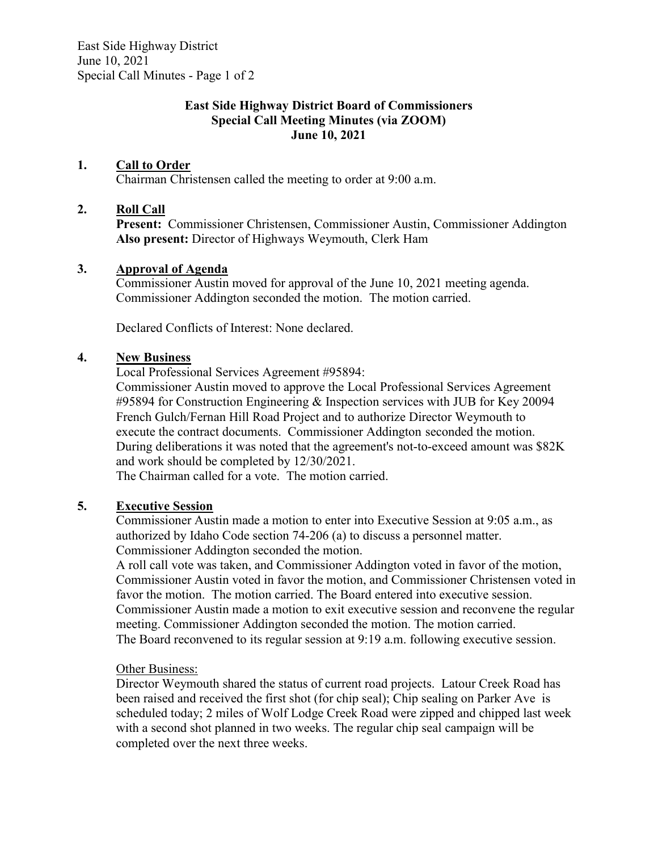East Side Highway District June 10, 2021 Special Call Minutes - Page 1 of 2

## **East Side Highway District Board of Commissioners Special Call Meeting Minutes (via ZOOM) June 10, 2021**

# **1. Call to Order**

Chairman Christensen called the meeting to order at 9:00 a.m.

# **2. Roll Call**

**Present:** Commissioner Christensen, Commissioner Austin, Commissioner Addington **Also present:** Director of Highways Weymouth, Clerk Ham

### **3. Approval of Agenda**

Commissioner Austin moved for approval of the June 10, 2021 meeting agenda. Commissioner Addington seconded the motion. The motion carried.

Declared Conflicts of Interest: None declared.

### **4. New Business**

Local Professional Services Agreement #95894:

Commissioner Austin moved to approve the Local Professional Services Agreement #95894 for Construction Engineering & Inspection services with JUB for Key 20094 French Gulch/Fernan Hill Road Project and to authorize Director Weymouth to execute the contract documents. Commissioner Addington seconded the motion. During deliberations it was noted that the agreement's not-to-exceed amount was \$82K and work should be completed by 12/30/2021.

The Chairman called for a vote. The motion carried.

# **5. Executive Session**

Commissioner Austin made a motion to enter into Executive Session at 9:05 a.m., as authorized by Idaho Code section 74-206 (a) to discuss a personnel matter. Commissioner Addington seconded the motion.

A roll call vote was taken, and Commissioner Addington voted in favor of the motion, Commissioner Austin voted in favor the motion, and Commissioner Christensen voted in favor the motion. The motion carried. The Board entered into executive session. Commissioner Austin made a motion to exit executive session and reconvene the regular meeting. Commissioner Addington seconded the motion. The motion carried. The Board reconvened to its regular session at 9:19 a.m. following executive session.

#### Other Business:

Director Weymouth shared the status of current road projects. Latour Creek Road has been raised and received the first shot (for chip seal); Chip sealing on Parker Ave is scheduled today; 2 miles of Wolf Lodge Creek Road were zipped and chipped last week with a second shot planned in two weeks. The regular chip seal campaign will be completed over the next three weeks.